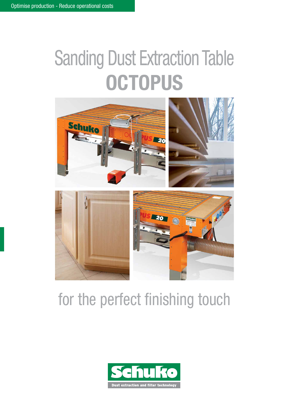# Sanding Dust Extraction Table **OCTOPUS**



## for the perfect finishing touch

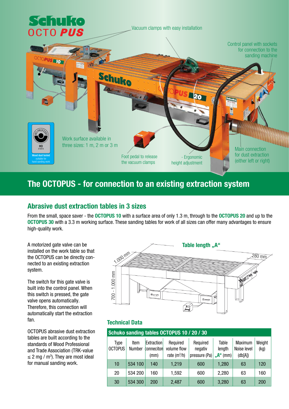

#### The OCTOPUS - for connection to an existing extraction system

#### Abrasive dust extraction tables in 3 sizes

From the small, space saver - the OCTOPUS 10 with a surface area of only 1.3 m, through to the OCTOPUS 20 and up to the OCTOPUS 30 with a 3.3 m working surface. These sanding tables for work of all sizes can offer many advantages to ensure high-quality work.

A motorized gate valve can be installed on the work table so that the OCTOPUS can be directly connected to an existing extraction system.

The switch for this gate valve is built into the control panel. When this switch is pressed, the gate valve opens automatically. Therefore, this connection will automatically start the extraction fan.

OCTOPUS abrasive dust extraction tables are built according to the standards of Wood Professional and Trade Association (TRK-value  $\leq$  2 mg / m<sup>3</sup>). They are most ideal for manual sanding work.



#### Technical Data

| Schuko sanding tables OCTOPUS 10 / 20 / 30 |                |                                         |                                           |                                      |                                              |                                   |                |  |
|--------------------------------------------|----------------|-----------------------------------------|-------------------------------------------|--------------------------------------|----------------------------------------------|-----------------------------------|----------------|--|
| Type<br><b>OCTOPUS</b>                     | Item<br>Number | <b>Extraction</b><br>conneciton<br>(mm) | Required<br>volume flow<br>rate $(m^3/h)$ | Required<br>negativ<br>pressure (Pa) | Table<br>length<br>" $A^{\prime\prime}$ (mm) | Maximum<br>Noise level<br>(db[A]) | Weight<br>(kg) |  |
| 10                                         | 534 100        | 140                                     | 1,219                                     | 600                                  | 1,280                                        | 63                                | 120            |  |
| 20                                         | 534 200        | 160                                     | 1,592                                     | 600                                  | 2,280                                        | 63                                | 160            |  |
| 30                                         | 534 300        | 200                                     | 2,487                                     | 600                                  | 3,280                                        | 63                                | 200            |  |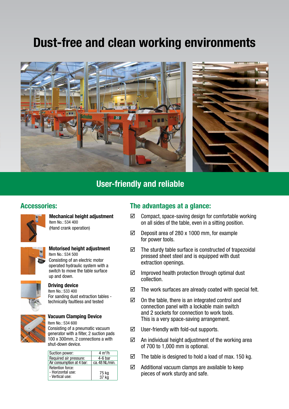## Dust-free and clean working environments



#### User-friendly and reliable

#### Accessories:



Mechanical height adjustment Item No.: 534 400 (Hand crank operation)



#### Motorised height adjustment Item No.: 534 500 Consisting of an electric motor operated hydraulic system with a switch to move the table surface up and down.



#### Driving device

Item No.: 533 400 For sanding dust extraction tables technically faultless and tested



#### Vacuum Clamping Device

Item No.: 534 600 Consisting of a pneumatic vacuum generator with a filter, 2 suction pads 100 x 300mm, 2 connections a with shut-down device.

| Suction power:                                                  | $4 \text{ m}^3/h$ |
|-----------------------------------------------------------------|-------------------|
| Required air pressure:                                          | $4-6$ bar         |
| Air consumption at 4 bar:                                       | ca. 48 NL/min.    |
| <b>Retention force:</b><br>- Horizontal use:<br>- Vertical use: | 75 kg<br>37 kg    |
|                                                                 |                   |

#### The advantages at a glance:

- $\boxtimes$  Compact, space-saving design for comfortable working on all sides of the table, even in a sitting position.
- $\boxtimes$  Deposit area of 280 x 1000 mm, for example for power tools.
- $\boxtimes$  The sturdy table surface is constructed of trapezoidal pressed sheet steel and is equipped with dust extraction openings.
- $\boxtimes$  Improved health protection through optimal dust collection.
- $\boxtimes$  The work surfaces are already coated with special felt.
- $\boxtimes$  On the table, there is an integrated control and connection panel with a lockable main switch and 2 sockets for connection to work tools. This is a very space-saving arrangement.
- $\boxtimes$  User-friendly with fold-out supports.
- $\boxtimes$  An individual height adjustment of the working area of 700 to 1,000 mm is optional.
- $\boxtimes$  The table is designed to hold a load of max. 150 kg.
- $\boxtimes$  Additional vacuum clamps are available to keep pieces of work sturdy and safe.